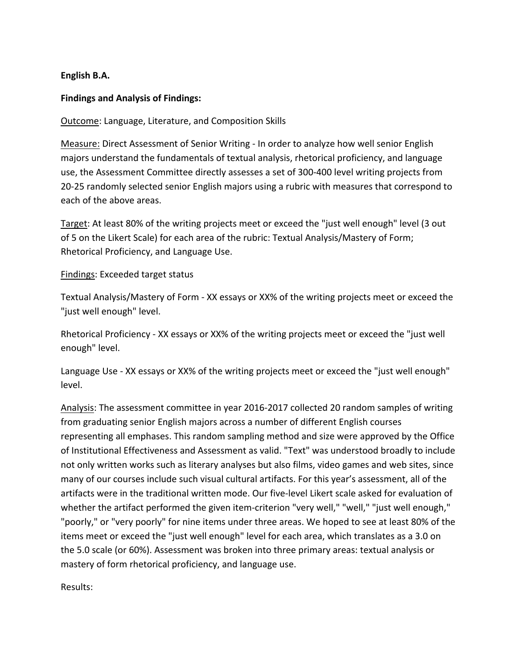## **English B.A.**

## **Findings and Analysis of Findings:**

Outcome: Language, Literature, and Composition Skills

Measure: Direct Assessment of Senior Writing - In order to analyze how well senior English majors understand the fundamentals of textual analysis, rhetorical proficiency, and language use, the Assessment Committee directly assesses a set of 300-400 level writing projects from 20-25 randomly selected senior English majors using a rubric with measures that correspond to each of the above areas.

Target: At least 80% of the writing projects meet or exceed the "just well enough" level (3 out of 5 on the Likert Scale) for each area of the rubric: Textual Analysis/Mastery of Form; Rhetorical Proficiency, and Language Use.

## Findings: Exceeded target status

Textual Analysis/Mastery of Form - XX essays or XX% of the writing projects meet or exceed the "just well enough" level.

Rhetorical Proficiency - XX essays or XX% of the writing projects meet or exceed the "just well enough" level.

Language Use - XX essays or XX% of the writing projects meet or exceed the "just well enough" level. 

Analysis: The assessment committee in year 2016-2017 collected 20 random samples of writing from graduating senior English majors across a number of different English courses representing all emphases. This random sampling method and size were approved by the Office of Institutional Effectiveness and Assessment as valid. "Text" was understood broadly to include not only written works such as literary analyses but also films, video games and web sites, since many of our courses include such visual cultural artifacts. For this year's assessment, all of the artifacts were in the traditional written mode. Our five-level Likert scale asked for evaluation of whether the artifact performed the given item-criterion "very well," "well," "just well enough," "poorly," or "very poorly" for nine items under three areas. We hoped to see at least 80% of the items meet or exceed the "just well enough" level for each area, which translates as a 3.0 on the 5.0 scale (or 60%). Assessment was broken into three primary areas: textual analysis or mastery of form rhetorical proficiency, and language use.

Results: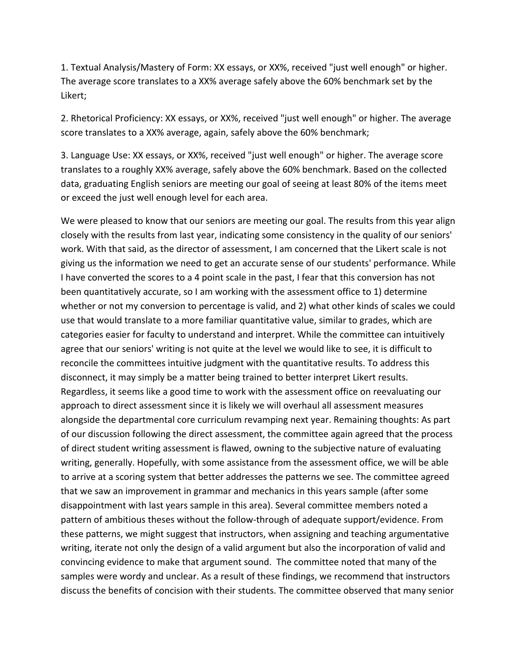1. Textual Analysis/Mastery of Form: XX essays, or XX%, received "just well enough" or higher. The average score translates to a XX% average safely above the 60% benchmark set by the Likert; 

2. Rhetorical Proficiency: XX essays, or XX%, received "just well enough" or higher. The average score translates to a XX% average, again, safely above the 60% benchmark;

3. Language Use: XX essays, or XX%, received "just well enough" or higher. The average score translates to a roughly XX% average, safely above the 60% benchmark. Based on the collected data, graduating English seniors are meeting our goal of seeing at least 80% of the items meet or exceed the just well enough level for each area.

We were pleased to know that our seniors are meeting our goal. The results from this year align closely with the results from last year, indicating some consistency in the quality of our seniors' work. With that said, as the director of assessment, I am concerned that the Likert scale is not giving us the information we need to get an accurate sense of our students' performance. While I have converted the scores to a 4 point scale in the past, I fear that this conversion has not been quantitatively accurate, so I am working with the assessment office to 1) determine whether or not my conversion to percentage is valid, and 2) what other kinds of scales we could use that would translate to a more familiar quantitative value, similar to grades, which are categories easier for faculty to understand and interpret. While the committee can intuitively agree that our seniors' writing is not quite at the level we would like to see, it is difficult to reconcile the committees intuitive judgment with the quantitative results. To address this disconnect, it may simply be a matter being trained to better interpret Likert results. Regardless, it seems like a good time to work with the assessment office on reevaluating our approach to direct assessment since it is likely we will overhaul all assessment measures alongside the departmental core curriculum revamping next year. Remaining thoughts: As part of our discussion following the direct assessment, the committee again agreed that the process of direct student writing assessment is flawed, owning to the subjective nature of evaluating writing, generally. Hopefully, with some assistance from the assessment office, we will be able to arrive at a scoring system that better addresses the patterns we see. The committee agreed that we saw an improvement in grammar and mechanics in this years sample (after some disappointment with last years sample in this area). Several committee members noted a pattern of ambitious theses without the follow-through of adequate support/evidence. From these patterns, we might suggest that instructors, when assigning and teaching argumentative writing, iterate not only the design of a valid argument but also the incorporation of valid and convincing evidence to make that argument sound. The committee noted that many of the samples were wordy and unclear. As a result of these findings, we recommend that instructors discuss the benefits of concision with their students. The committee observed that many senior